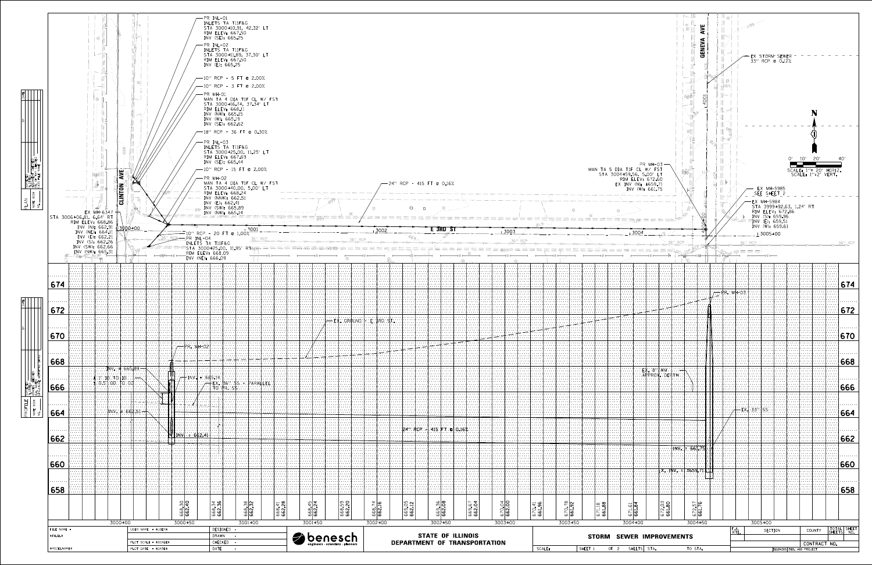